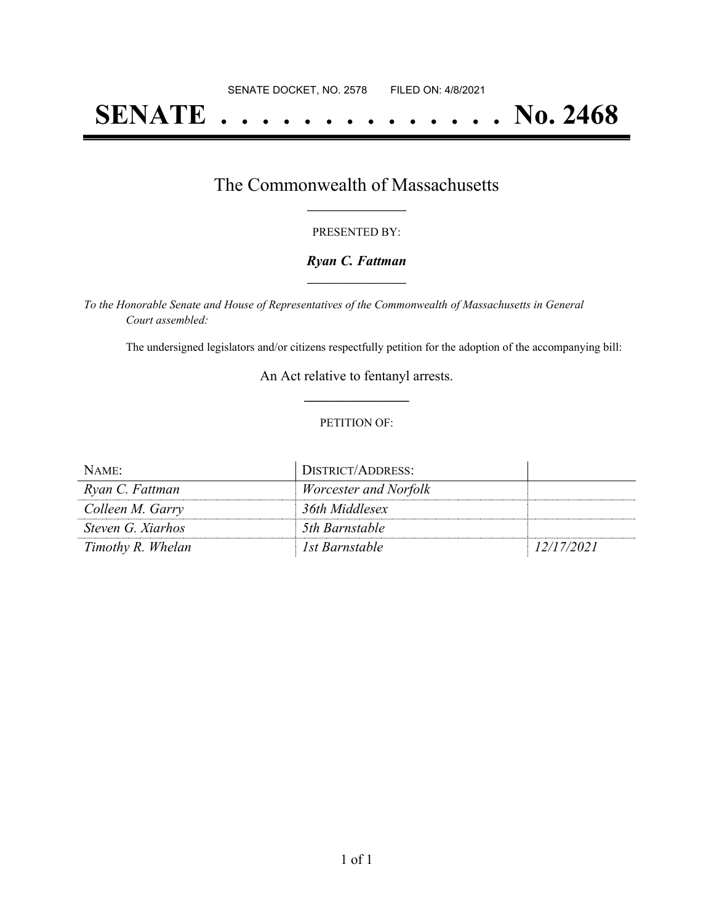# **SENATE . . . . . . . . . . . . . . No. 2468**

### The Commonwealth of Massachusetts **\_\_\_\_\_\_\_\_\_\_\_\_\_\_\_\_\_**

#### PRESENTED BY:

#### *Ryan C. Fattman* **\_\_\_\_\_\_\_\_\_\_\_\_\_\_\_\_\_**

*To the Honorable Senate and House of Representatives of the Commonwealth of Massachusetts in General Court assembled:*

The undersigned legislators and/or citizens respectfully petition for the adoption of the accompanying bill:

An Act relative to fentanyl arrests. **\_\_\_\_\_\_\_\_\_\_\_\_\_\_\_**

#### PETITION OF:

| NAME:             | DISTRICT/ADDRESS:            |            |
|-------------------|------------------------------|------------|
| Ryan C. Fattman   | <i>Worcester and Norfolk</i> |            |
| Colleen M. Garry  | 36th Middlesex               |            |
| Steven G. Xiarhos | 5th Barnstable               |            |
| Timothy R. Whelan | Ist Barnstable               | 12/17/2021 |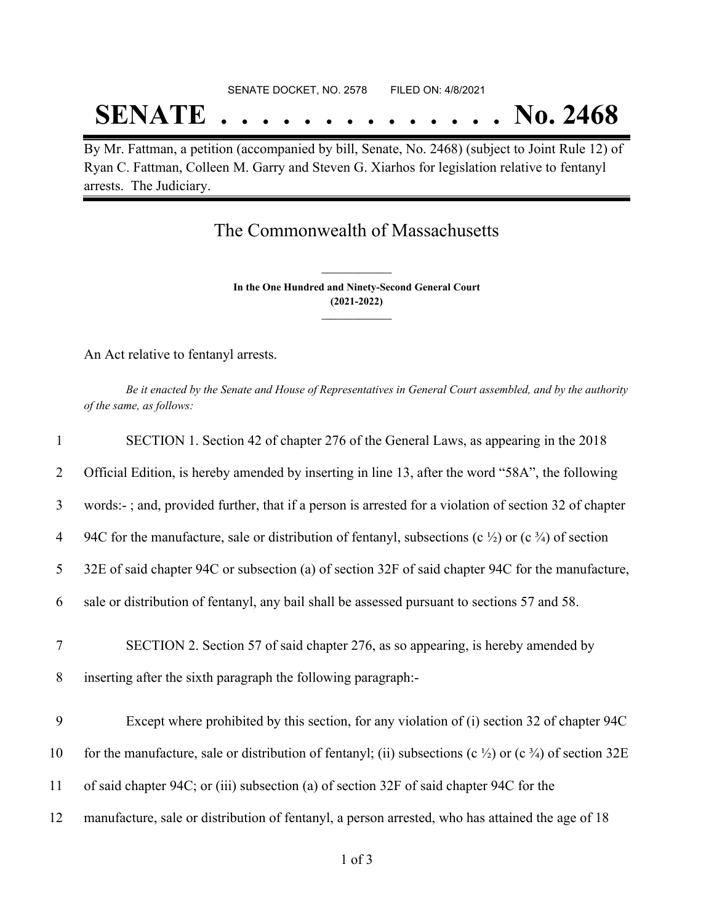#### SENATE DOCKET, NO. 2578 FILED ON: 4/8/2021

## **SENATE . . . . . . . . . . . . . . No. 2468**

By Mr. Fattman, a petition (accompanied by bill, Senate, No. 2468) (subject to Joint Rule 12) of Ryan C. Fattman, Colleen M. Garry and Steven G. Xiarhos for legislation relative to fentanyl arrests. The Judiciary.

### The Commonwealth of Massachusetts

**In the One Hundred and Ninety-Second General Court (2021-2022) \_\_\_\_\_\_\_\_\_\_\_\_\_\_\_**

**\_\_\_\_\_\_\_\_\_\_\_\_\_\_\_**

An Act relative to fentanyl arrests.

Be it enacted by the Senate and House of Representatives in General Court assembled, and by the authority *of the same, as follows:*

| $\mathbf{1}$        | SECTION 1. Section 42 of chapter 276 of the General Laws, as appearing in the 2018                                                                |
|---------------------|---------------------------------------------------------------------------------------------------------------------------------------------------|
| 2                   | Official Edition, is hereby amended by inserting in line 13, after the word "58A", the following                                                  |
| $\mathfrak{Z}$      | words:-; and, provided further, that if a person is arrested for a violation of section 32 of chapter                                             |
| 4                   | 94C for the manufacture, sale or distribution of fentanyl, subsections (c $\frac{1}{2}$ ) or (c $\frac{3}{4}$ ) of section                        |
| 5                   | 32E of said chapter 94C or subsection (a) of section 32F of said chapter 94C for the manufacture,                                                 |
| 6                   | sale or distribution of fentanyl, any bail shall be assessed pursuant to sections 57 and 58.                                                      |
| $\overline{7}$<br>8 | SECTION 2. Section 57 of said chapter 276, as so appearing, is hereby amended by<br>inserting after the sixth paragraph the following paragraph:- |
| 9                   | Except where prohibited by this section, for any violation of (i) section 32 of chapter 94C                                                       |
| 10                  | for the manufacture, sale or distribution of fentanyl; (ii) subsections (c $\frac{1}{2}$ ) or (c $\frac{3}{4}$ ) of section 32E                   |
| 11                  | of said chapter 94C; or (iii) subsection (a) of section 32F of said chapter 94C for the                                                           |
| 12                  | manufacture, sale or distribution of fentanyl, a person arrested, who has attained the age of 18                                                  |
|                     |                                                                                                                                                   |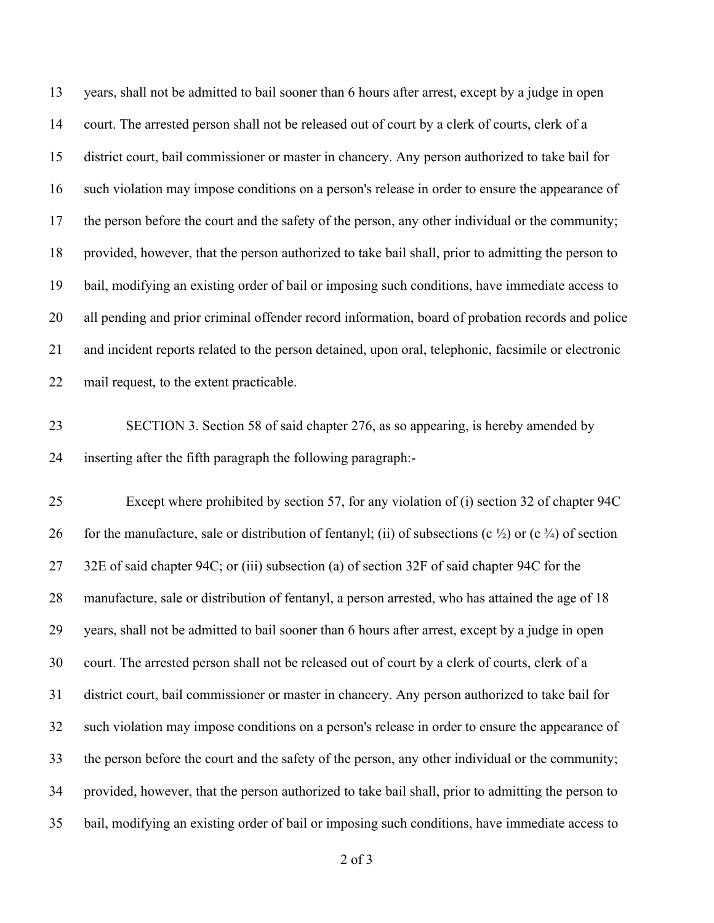years, shall not be admitted to bail sooner than 6 hours after arrest, except by a judge in open court. The arrested person shall not be released out of court by a clerk of courts, clerk of a district court, bail commissioner or master in chancery. Any person authorized to take bail for such violation may impose conditions on a person's release in order to ensure the appearance of 17 the person before the court and the safety of the person, any other individual or the community; provided, however, that the person authorized to take bail shall, prior to admitting the person to bail, modifying an existing order of bail or imposing such conditions, have immediate access to all pending and prior criminal offender record information, board of probation records and police and incident reports related to the person detained, upon oral, telephonic, facsimile or electronic mail request, to the extent practicable.

 SECTION 3. Section 58 of said chapter 276, as so appearing, is hereby amended by inserting after the fifth paragraph the following paragraph:-

 Except where prohibited by section 57, for any violation of (i) section 32 of chapter 94C 26 for the manufacture, sale or distribution of fentanyl; (ii) of subsections (c  $\frac{1}{2}$ ) or (c  $\frac{3}{4}$ ) of section 27 32E of said chapter 94C; or (iii) subsection (a) of section 32F of said chapter 94C for the manufacture, sale or distribution of fentanyl, a person arrested, who has attained the age of 18 years, shall not be admitted to bail sooner than 6 hours after arrest, except by a judge in open court. The arrested person shall not be released out of court by a clerk of courts, clerk of a district court, bail commissioner or master in chancery. Any person authorized to take bail for such violation may impose conditions on a person's release in order to ensure the appearance of the person before the court and the safety of the person, any other individual or the community; provided, however, that the person authorized to take bail shall, prior to admitting the person to bail, modifying an existing order of bail or imposing such conditions, have immediate access to

of 3